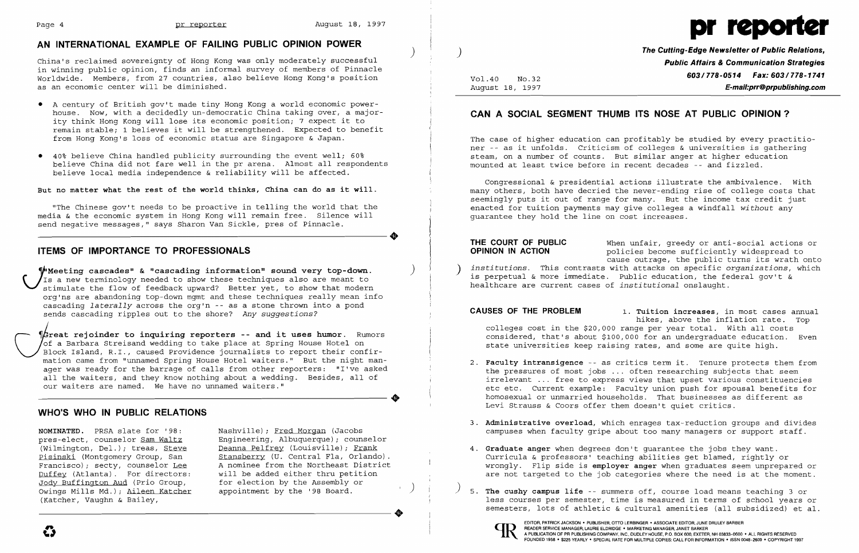

China's reclaimed sovereignty of Hong Kong was only moderately successful in winning public opinion, finds an informal survey of members of Pinnacle Worldwide. Members, from 27 countries, also believe Hong Kong's position as an economic center will be diminished.

# **AN INTERNATIONAL EXAMPLE OF FAILING PUBLIC OPINION POWER** )

- • A century of British gov't made tiny Hong Kong a world economic powerhouse. Now, with a decidedly un-democratic China taking over, a majority think Hong Kong will lose its economic position; 7 expect it to remain stable; 1 believes it will be strengthened. Expected to benefit from Hong Kong's loss of economic status are Singapore & Japan.
- • 40% believe China handled publicity surrounding the event well; 60% believe China did not fare well in the pr arena. Almost all respondents believe local media independence & reliability will be affected.

Weeting cascades" & "cascading information" sound very top-down. Is a new terminology needed to show these techniques also are meant to stimulate the flow of feedback upward? Better yet, to show that modern org'ns are abandoning top-down mgmt and these techniques really mean info cascading *laterally* across the org'n -- as a stone thrown into a pond sends cascading ripples out to the shore? *Any suggestions?* 

### **But no matter what the rest of the world thinks, China can do as it will.**

Great rejoinder to inquiring reporters -- and it uses humor. Rumors<br>Of a Barbara Streisand wedding to take place at Spring House Hotel on<br>Block Island, R.I., caused Providence journalists to report their confir-<br>mation cam of a Barbara Streisand wedding to take place at Spring House Hotel on Block Island, R.I., caused Providence journalists to report their confirmation came from "unnamed spring House Hotel waiters." But the night manager was ready for the barrage of calls from other reporters: "I've asked all the waiters, and they know nothing about a wedding. Besides, all of our waiters are named. We have no unnamed waiters."

"The Chinese gov't needs to be proactive in telling the world that the media & the economic system in Hong Kong will remain free. Silence will ----------------------+ send negative messages," says Sharon Van Sickle, pres of Pinnacle.

# **ITEMS OF IMPORTANCE TO PROFESSIONALS**

policies become sufficiently widespread to cause outrage, the public turns its wrath onto

**THE COURT OF PUBLIC** When unfair, greedy or anti-social actions or **OPINION IN ACTION** institutions. This contrasts with attacks on specific *organizations*, which is perpetual & more immediate. Public education, the federal gov't & healthcare are current cases of *institutional* onslaught.

- 2. **Faculty intransigence** -- as critics term it. Tenure protects them from Levi Strauss & Coors offer them doesn't quiet critics.
- 
- 4. **Graduate anger** when degrees don't guarantee the jobs they want.
- $^{\prime}$  5. **The cushy campus life** -- summers off, course load means teaching 3 or



## **WHO'S WHO IN PUBLIC RELATIONS**

**NOMINATED.** PRSA slate for '98: Nashville); Fred Morgan (Jacobs<br>pres-elect, counselor <u>Sam Waltz</u> Enqineering, Albuquerque); coune Duffey (Atlanta). For directors:<br>Jody Buffington Aud (Prio Group, Jody Buffington Aud (Prio Group, for election by the Assembly or )<br>Owings Mills Md.); Aileen Katcher appointment by the '98 Board. (Katcher, Vaughn & Bailey, Owings Mills Md.); Aileen Katcher appointment by the '98 Board.<br>(Katcher, Vaughn & Bailey,  $\bullet$ 

pres-elect, counselor <u>Sam Waltz</u> Engineering, Albuquerque); counselor<br>(Wilmington, Del.); treas, Steve Deanna Pelfrey (Louisville); Frank (Wilmington, Del.); treas, <u>Steve Deanna Pelfrey</u> (Louisville); <u>Frank</u><br>Pisinski (Montgomery Group, San Stansberry (U. Central Fla, Orlando Pisinski (Montgomery Group, San Stansberry (U. Central Fla, Orlando).<br>Francisco): secty, counselor Lee A nominee from the Northeast District A nominee from the Northeast District<br>will be added either thru petition

 $\clubsuit$ 

**The Cutting-Edge Newsletter of Public Relations,** ) **Public Affairs & Communication Strategies 603/778-0514 Fax: 603/778-1741**<br>August 18, 1997 **F-mail:prr@prpublishing.com** August 18, 1997 **E-mail:prr@prpublishing.com** 

## **CAN A SOCIAL SEGMENT THUMB ITS NOSE AT PUBLIC OPINION?**

The case of higher education can profitably be studied by every practitioner -- as it unfolds. Criticism of colleges & universities is gathering steam, on a number of counts. But similar anger at higher education mounted at least twice before in recent decades -- and fizzled.

Congressional & presidential actions illustrate the ambivalence. with many others, both have decried the never-ending rise of college costs that seemingly puts it out of range for many. But the income tax credit just enacted for tuition payments may give colleges a windfall *without* any guarantee they hold the line on cost increases.

**CAUSES OF THE PROBLEM 1. Tuition increases,** in most cases annual hikes, above the inflation rate. Top colleges cost in the \$20,000 range per year total. With all costs considered, that's about \$100,000 for an undergraduate education. Even state universities keep raising rates, and some are quite high.

the pressures of most jobs ... often researching subjects that seem irrelevant ... free to express views that upset various constituencies etc etc. Current example: Faculty union push for spousal benefits for homosexual or unmarried households. That businesses as different as

3. **Administrative overload,** which enrages tax-reduction groups and divides campuses when faculty gripe about too many managers or support staff.

Curricula & professors' teaching abilities get blamed, rightly or wrongly. Flip side is **employer anger** when graduates seem unprepared or are not targeted to the job categories where the need is at the moment.

less courses per semester, time is measured in terms of school years or semesters, lots of athletic & cultural amenities (all subsidized) et al.